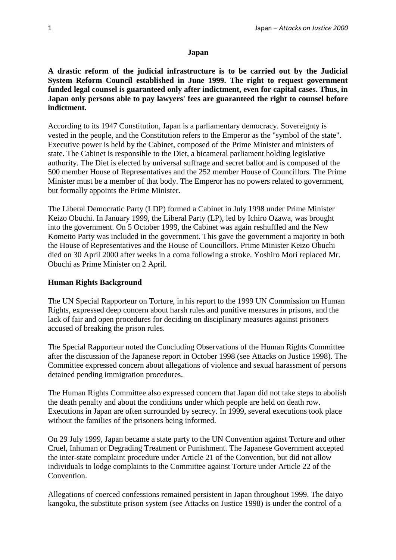#### **Japan**

**A drastic reform of the judicial infrastructure is to be carried out by the Judicial System Reform Council established in June 1999. The right to request government funded legal counsel is guaranteed only after indictment, even for capital cases. Thus, in Japan only persons able to pay lawyers' fees are guaranteed the right to counsel before indictment.**

According to its 1947 Constitution, Japan is a parliamentary democracy. Sovereignty is vested in the people, and the Constitution refers to the Emperor as the "symbol of the state". Executive power is held by the Cabinet, composed of the Prime Minister and ministers of state. The Cabinet is responsible to the Diet, a bicameral parliament holding legislative authority. The Diet is elected by universal suffrage and secret ballot and is composed of the 500 member House of Representatives and the 252 member House of Councillors. The Prime Minister must be a member of that body. The Emperor has no powers related to government, but formally appoints the Prime Minister.

The Liberal Democratic Party (LDP) formed a Cabinet in July 1998 under Prime Minister Keizo Obuchi. In January 1999, the Liberal Party (LP), led by Ichiro Ozawa, was brought into the government. On 5 October 1999, the Cabinet was again reshuffled and the New Komeito Party was included in the government. This gave the government a majority in both the House of Representatives and the House of Councillors. Prime Minister Keizo Obuchi died on 30 April 2000 after weeks in a coma following a stroke. Yoshiro Mori replaced Mr. Obuchi as Prime Minister on 2 April.

## **Human Rights Background**

The UN Special Rapporteur on Torture, in his report to the 1999 UN Commission on Human Rights, expressed deep concern about harsh rules and punitive measures in prisons, and the lack of fair and open procedures for deciding on disciplinary measures against prisoners accused of breaking the prison rules.

The Special Rapporteur noted the Concluding Observations of the Human Rights Committee after the discussion of the Japanese report in October 1998 (see Attacks on Justice 1998). The Committee expressed concern about allegations of violence and sexual harassment of persons detained pending immigration procedures.

The Human Rights Committee also expressed concern that Japan did not take steps to abolish the death penalty and about the conditions under which people are held on death row. Executions in Japan are often surrounded by secrecy. In 1999, several executions took place without the families of the prisoners being informed.

On 29 July 1999, Japan became a state party to the UN Convention against Torture and other Cruel, Inhuman or Degrading Treatment or Punishment. The Japanese Government accepted the inter-state complaint procedure under Article 21 of the Convention, but did not allow individuals to lodge complaints to the Committee against Torture under Article 22 of the Convention.

Allegations of coerced confessions remained persistent in Japan throughout 1999. The daiyo kangoku, the substitute prison system (see Attacks on Justice 1998) is under the control of a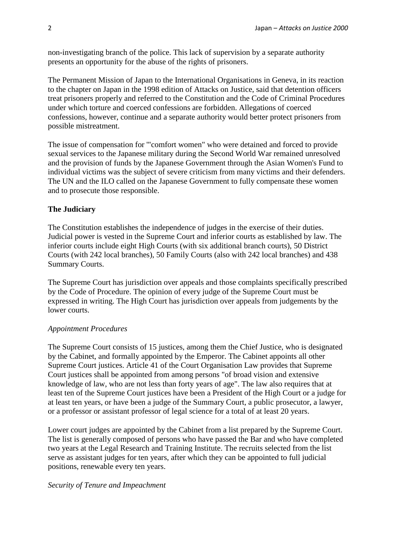non-investigating branch of the police. This lack of supervision by a separate authority presents an opportunity for the abuse of the rights of prisoners.

The Permanent Mission of Japan to the International Organisations in Geneva, in its reaction to the chapter on Japan in the 1998 edition of Attacks on Justice, said that detention officers treat prisoners properly and referred to the Constitution and the Code of Criminal Procedures under which torture and coerced confessions are forbidden. Allegations of coerced confessions, however, continue and a separate authority would better protect prisoners from possible mistreatment.

The issue of compensation for '"comfort women" who were detained and forced to provide sexual services to the Japanese military during the Second World War remained unresolved and the provision of funds by the Japanese Government through the Asian Women's Fund to individual victims was the subject of severe criticism from many victims and their defenders. The UN and the ILO called on the Japanese Government to fully compensate these women and to prosecute those responsible.

# **The Judiciary**

The Constitution establishes the independence of judges in the exercise of their duties. Judicial power is vested in the Supreme Court and inferior courts as established by law. The inferior courts include eight High Courts (with six additional branch courts), 50 District Courts (with 242 local branches), 50 Family Courts (also with 242 local branches) and 438 Summary Courts.

The Supreme Court has jurisdiction over appeals and those complaints specifically prescribed by the Code of Procedure. The opinion of every judge of the Supreme Court must be expressed in writing. The High Court has jurisdiction over appeals from judgements by the lower courts.

## *Appointment Procedures*

The Supreme Court consists of 15 justices, among them the Chief Justice, who is designated by the Cabinet, and formally appointed by the Emperor. The Cabinet appoints all other Supreme Court justices. Article 41 of the Court Organisation Law provides that Supreme Court justices shall be appointed from among persons "of broad vision and extensive knowledge of law, who are not less than forty years of age". The law also requires that at least ten of the Supreme Court justices have been a President of the High Court or a judge for at least ten years, or have been a judge of the Summary Court, a public prosecutor, a lawyer, or a professor or assistant professor of legal science for a total of at least 20 years.

Lower court judges are appointed by the Cabinet from a list prepared by the Supreme Court. The list is generally composed of persons who have passed the Bar and who have completed two years at the Legal Research and Training Institute. The recruits selected from the list serve as assistant judges for ten years, after which they can be appointed to full judicial positions, renewable every ten years.

## *Security of Tenure and Impeachment*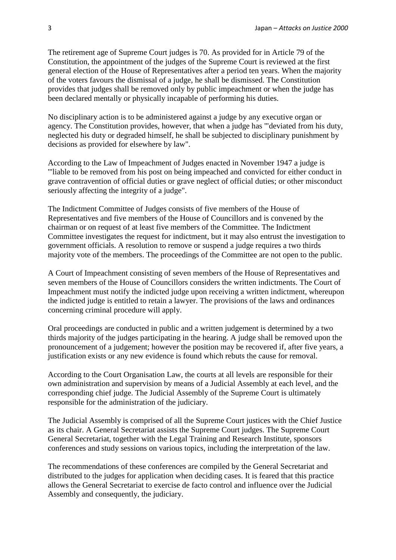The retirement age of Supreme Court judges is 70. As provided for in Article 79 of the Constitution, the appointment of the judges of the Supreme Court is reviewed at the first general election of the House of Representatives after a period ten years. When the majority of the voters favours the dismissal of a judge, he shall be dismissed. The Constitution provides that judges shall be removed only by public impeachment or when the judge has been declared mentally or physically incapable of performing his duties.

No disciplinary action is to be administered against a judge by any executive organ or agency. The Constitution provides, however, that when a judge has '"deviated from his duty, neglected his duty or degraded himself, he shall be subjected to disciplinary punishment by decisions as provided for elsewhere by law".

According to the Law of Impeachment of Judges enacted in November 1947 a judge is '"liable to be removed from his post on being impeached and convicted for either conduct in grave contravention of official duties or grave neglect of official duties; or other misconduct seriously affecting the integrity of a judge".

The Indictment Committee of Judges consists of five members of the House of Representatives and five members of the House of Councillors and is convened by the chairman or on request of at least five members of the Committee. The Indictment Committee investigates the request for indictment, but it may also entrust the investigation to government officials. A resolution to remove or suspend a judge requires a two thirds majority vote of the members. The proceedings of the Committee are not open to the public.

A Court of Impeachment consisting of seven members of the House of Representatives and seven members of the House of Councillors considers the written indictments. The Court of Impeachment must notify the indicted judge upon receiving a written indictment, whereupon the indicted judge is entitled to retain a lawyer. The provisions of the laws and ordinances concerning criminal procedure will apply.

Oral proceedings are conducted in public and a written judgement is determined by a two thirds majority of the judges participating in the hearing. A judge shall be removed upon the pronouncement of a judgement; however the position may be recovered if, after five years, a justification exists or any new evidence is found which rebuts the cause for removal.

According to the Court Organisation Law, the courts at all levels are responsible for their own administration and supervision by means of a Judicial Assembly at each level, and the corresponding chief judge. The Judicial Assembly of the Supreme Court is ultimately responsible for the administration of the judiciary.

The Judicial Assembly is comprised of all the Supreme Court justices with the Chief Justice as its chair. A General Secretariat assists the Supreme Court judges. The Supreme Court General Secretariat, together with the Legal Training and Research Institute, sponsors conferences and study sessions on various topics, including the interpretation of the law.

The recommendations of these conferences are compiled by the General Secretariat and distributed to the judges for application when deciding cases. It is feared that this practice allows the General Secretariat to exercise de facto control and influence over the Judicial Assembly and consequently, the judiciary.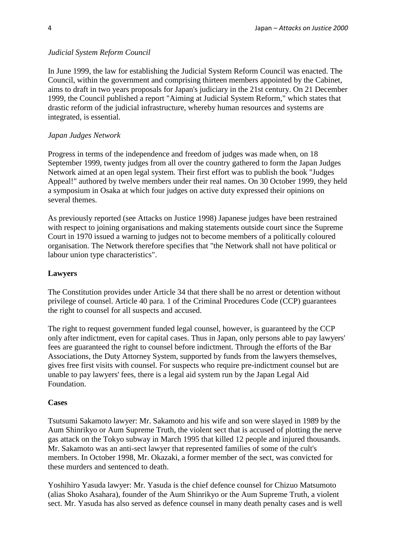## *Judicial System Reform Council*

In June 1999, the law for establishing the Judicial System Reform Council was enacted. The Council, within the government and comprising thirteen members appointed by the Cabinet, aims to draft in two years proposals for Japan's judiciary in the 21st century. On 21 December 1999, the Council published a report "Aiming at Judicial System Reform," which states that drastic reform of the judicial infrastructure, whereby human resources and systems are integrated, is essential.

## *Japan Judges Network*

Progress in terms of the independence and freedom of judges was made when, on 18 September 1999, twenty judges from all over the country gathered to form the Japan Judges Network aimed at an open legal system. Their first effort was to publish the book "Judges Appeal!" authored by twelve members under their real names. On 30 October 1999, they held a symposium in Osaka at which four judges on active duty expressed their opinions on several themes.

As previously reported (see Attacks on Justice 1998) Japanese judges have been restrained with respect to joining organisations and making statements outside court since the Supreme Court in 1970 issued a warning to judges not to become members of a politically coloured organisation. The Network therefore specifies that "the Network shall not have political or labour union type characteristics".

# **Lawyers**

The Constitution provides under Article 34 that there shall be no arrest or detention without privilege of counsel. Article 40 para. 1 of the Criminal Procedures Code (CCP) guarantees the right to counsel for all suspects and accused.

The right to request government funded legal counsel, however, is guaranteed by the CCP only after indictment, even for capital cases. Thus in Japan, only persons able to pay lawyers' fees are guaranteed the right to counsel before indictment. Through the efforts of the Bar Associations, the Duty Attorney System, supported by funds from the lawyers themselves, gives free first visits with counsel. For suspects who require pre-indictment counsel but are unable to pay lawyers' fees, there is a legal aid system run by the Japan Legal Aid Foundation.

#### **Cases**

Tsutsumi Sakamoto lawyer: Mr. Sakamoto and his wife and son were slayed in 1989 by the Aum Shinrikyo or Aum Supreme Truth, the violent sect that is accused of plotting the nerve gas attack on the Tokyo subway in March 1995 that killed 12 people and injured thousands. Mr. Sakamoto was an anti-sect lawyer that represented families of some of the cult's members. In October 1998, Mr. Okazaki, a former member of the sect, was convicted for these murders and sentenced to death.

Yoshihiro Yasuda lawyer: Mr. Yasuda is the chief defence counsel for Chizuo Matsumoto (alias Shoko Asahara), founder of the Aum Shinrikyo or the Aum Supreme Truth, a violent sect. Mr. Yasuda has also served as defence counsel in many death penalty cases and is well